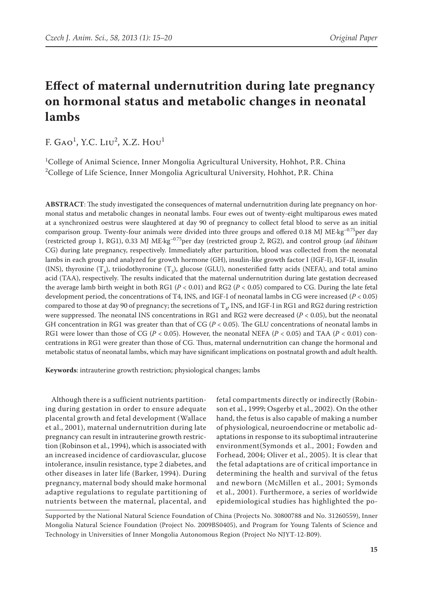# **Effect of maternal undernutrition during late pregnancy on hormonal status and metabolic changes in neonatal lambs**

F. Gao<sup>1</sup>, Y.C. Liu<sup>2</sup>, X.Z. Hou<sup>1</sup>

<sup>1</sup>College of Animal Science, Inner Mongolia Agricultural University, Hohhot, P.R. China  $^{2}$ College of Life Science, Inner Mongolia Agricultural University, Hohhot, P.R. China

**ABSTRACT**: The study investigated the consequences of maternal undernutrition during late pregnancy on hormonal status and metabolic changes in neonatal lambs. Four ewes out of twenty-eight multiparous ewes mated at a synchronized oestrus were slaughtered at day 90 of pregnancy to collect fetal blood to serve as an initial comparison group. Twenty-four animals were divided into three groups and offered 0.18 MJ ME·kg<sup>-0.75</sup>per day (restricted group 1, RG1), 0.33 MJ ME·kg<sup>-0.75</sup>per day (restricted group 2, RG2), and control group (*ad libitum* CG) during late pregnancy, respectively. Immediately after parturition, blood was collected from the neonatal lambs in each group and analyzed for growth hormone (GH), insulin-like growth factor I (IGF-I), IGF-II, insulin (INS), thyroxine  $(T_4)$ , triiodothyronine  $(T_3)$ , glucose (GLU), nonesterified fatty acids (NEFA), and total amino acid (TAA), respectively. The results indicated that the maternal undernutrition during late gestation decreased the average lamb birth weight in both RG1 (*P* < 0.01) and RG2 (*P <* 0.05) compared to CG. During the late fetal development period, the concentrations of T4, INS, and IGF-I of neonatal lambs in CG were increased (*P* < 0.05) compared to those at day 90 of pregnancy; the secretions of  $T_a$ , INS, and IGF-I in RG1 and RG2 during restriction were suppressed. The neonatal INS concentrations in RG1 and RG2 were decreased (*P* < 0.05), but the neonatal GH concentration in RG1 was greater than that of CG (*P* < 0.05). The GLU concentrations of neonatal lambs in RG1 were lower than those of CG (*P* < 0.05). However, the neonatal NEFA (*P* < 0.05) and TAA (*P* < 0.01) concentrations in RG1 were greater than those of CG. Thus, maternal undernutrition can change the hormonal and metabolic status of neonatal lambs, which may have significant implications on postnatal growth and adult health.

**Keywords**: intrauterine growth restriction; physiological changes; lambs

Although there is a sufficient nutrients partitioning during gestation in order to ensure adequate placental growth and fetal development (Wallace et al., 2001), maternal undernutrition during late pregnancy can result in intrauterine growth restriction (Robinson et al., 1994), which is associated with an increased incidence of cardiovascular, glucose intolerance, insulin resistance, type 2 diabetes, and other diseases in later life (Barker, 1994). During pregnancy, maternal body should make hormonal adaptive regulations to regulate partitioning of nutrients between the maternal, placental, and fetal compartments directly or indirectly (Robinson et al., 1999; Osgerby et al., 2002). On the other hand, the fetus is also capable of making a number of physiological, neuroendocrine or metabolic adaptations in response to its suboptimal intrauterine environment(Symonds et al., 2001; Fowden and Forhead, 2004; Oliver et al., 2005). It is clear that the fetal adaptations are of critical importance in determining the health and survival of the fetus and newborn (McMillen et al., 2001; Symonds et al., 2001). Furthermore, a series of worldwide epidemiological studies has highlighted the po-

Supported by the National Natural Science Foundation of China (Projects No. 30800788 and No. 31260559), Inner Mongolia Natural Science Foundation (Project No. 2009BS0405), and Program for Young Talents of Science and Technology in Universities of Inner Mongolia Autonomous Region (Project No NJYT-12-B09).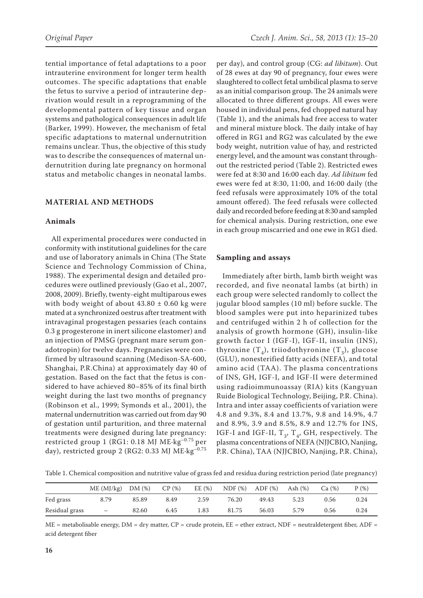tential importance of fetal adaptations to a poor intrauterine environment for longer term health outcomes. The specific adaptations that enable the fetus to survive a period of intrauterine deprivation would result in a reprogramming of the developmental pattern of key tissue and organ systems and pathological consequences in adult life (Barker, 1999). However, the mechanism of fetal specific adaptations to maternal undernutrition remains unclear. Thus, the objective of this study was to describe the consequences of maternal undernutrition during late pregnancy on hormonal status and metabolic changes in neonatal lambs.

# **MATERIAL AND METHODS**

## **Animals**

All experimental procedures were conducted in conformity with institutional guidelines for the care and use of laboratory animals in China (The State Science and Technology Commission of China, 1988). The experimental design and detailed procedures were outlined previously (Gao et al., 2007, 2008, 2009). Briefly, twenty-eight multiparous ewes with body weight of about  $43.80 \pm 0.60$  kg were mated at a synchronized oestrus after treatment with intravaginal progestagen pessaries (each contains 0.3 g progesterone in inert silicone elastomer) and an injection of PMSG (pregnant mare serum gonadotropin) for twelve days. Pregnancies were confirmed by ultrasound scanning (Medison-SA-600, Shanghai, P.R.China) at approximately day 40 of gestation. Based on the fact that the fetus is considered to have achieved 80–85% of its final birth weight during the last two months of pregnancy (Robinson et al., 1999; Symonds et al., 2001), the maternal undernutrition was carried out from day 90 of gestation until parturition, and three maternal treatments were designed during late pregnancy: restricted group 1 (RG1: 0.18 MJ ME·kg–0.75 per day), restricted group 2 (RG2: 0.33 MJ ME·kg<sup>-0.75</sup>

per day), and control group (CG: *ad libitum*). Out of 28 ewes at day 90 of pregnancy, four ewes were slaughtered to collect fetal umbilical plasma to serve as an initial comparison group. The 24 animals were allocated to three different groups. All ewes were housed in individual pens, fed chopped natural hay (Table 1), and the animals had free access to water and mineral mixture block. The daily intake of hay offered in RG1 and RG2 was calculated by the ewe body weight, nutrition value of hay, and restricted energy level, and the amount was constant throughout the restricted period (Table 2). Restricted ewes were fed at 8:30 and 16:00 each day. *Ad libitum* fed ewes were fed at 8:30, 11:00, and 16:00 daily (the feed refusals were approximately 10% of the total amount offered). The feed refusals were collected daily and recorded before feeding at 8:30 and sampled for chemical analysis. During restriction, one ewe in each group miscarried and one ewe in RG1 died.

## **Sampling and assays**

Immediately after birth, lamb birth weight was recorded, and five neonatal lambs (at birth) in each group were selected randomly to collect the jugular blood samples (10 ml) before suckle. The blood samples were put into heparinized tubes and centrifuged within 2 h of collection for the analysis of growth hormone (GH), insulin-like growth factor I (IGF-I), IGF-II, insulin (INS), thyroxine  $(T_4)$ , triiodothyronine  $(T_3)$ , glucose (GLU), nonesterified fatty acids (NEFA), and total amino acid (TAA). The plasma concentrations of INS, GH, IGF-I, and IGF-II were determined using radioimmunoassay (RIA) kits (Kangyuan Ruide Biological Technology, Beijing, P.R. China). Intra and inter assay coefficients of variation were 4.8 and 9.3%, 8.4 and 13.7%, 9.8 and 14.9%, 4.7 and 8.9%, 3.9 and 8.5%, 8.9 and 12.7% for INS, IGF-I and IGF-II,  $T_3$ ,  $T_4$ , GH, respectively. The plasma concentrations of NEFA (NJJCBIO, Nanjing, P.R. China), TAA (NJJCBIO, Nanjing, P.R. China),

Table 1. Chemical composition and nutritive value of grass fed and residua during restriction period (late pregnancy)

|                | ME (MJ/kg)               | DM(%) | CP(%) | EE $(%)$ | NDF(%) | $ADF$ $(\%)$ | Ash $(\%)$ | Ca (%) | $P(\%)$ |
|----------------|--------------------------|-------|-------|----------|--------|--------------|------------|--------|---------|
| Fed grass      | 8.79                     | 85.89 | 8.49  | 2.59     | 76.20  | 49.43        | 5.23       | 0.56   | 0.24    |
| Residual grass | $\overline{\phantom{m}}$ | 82.60 | 6.45  | 1.83     | 81.75  | 56.03        | 5.79       | 0.56   | 0.24    |

 $ME$  = metabolisable energy,  $DM$  = dry matter,  $CP$  = crude protein,  $EE$  = ether extract,  $NDF$  = neutraldetergent fiber,  $ADF$  = acid detergent fiber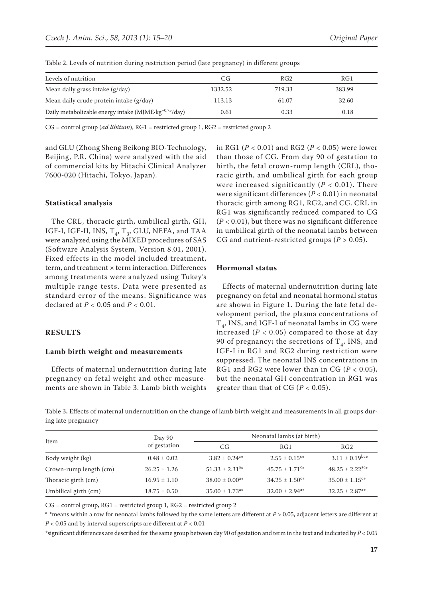| Levels of nutrition                                                       | CG      | RG <sub>2</sub> | RG1    |
|---------------------------------------------------------------------------|---------|-----------------|--------|
| Mean daily grass intake (g/day)                                           | 1332.52 | 719.33          | 383.99 |
| Mean daily crude protein intake $(g/day)$                                 | 113.13  | 61.07           | 32.60  |
| Daily metabolizable energy intake (MJME $\cdot$ kg <sup>-0.75</sup> /day) | 0.61    | 0.33            | 0.18   |

Table 2. Levels of nutrition during restriction period (late pregnancy) in different groups

CG = control group (*ad libitum*), RG1 = restricted group 1, RG2 = restricted group 2

and GLU (Zhong Sheng Beikong BIO-Technology, Beijing, P.R. China) were analyzed with the aid of commercial kits by Hitachi Clinical Analyzer 7600-020 (Hitachi, Tokyo, Japan).

### **Statistical analysis**

The CRL, thoracic girth, umbilical girth, GH, IGF-I, IGF-II, INS,  $T_4$ ,  $T_3$ , GLU, NEFA, and TAA were analyzed using the MIXED procedures of SAS (Software Analysis System, Version 8.01, 2001). Fixed effects in the model included treatment, term, and treatment × term interaction. Differences among treatments were analyzed using Tukey's multiple range tests. Data were presented as standard error of the means. Significance was declared at *P* < 0.05 and *P* < 0.01.

## **RESULTS**

#### **Lamb birth weight and measurements**

Effects of maternal undernutrition during late pregnancy on fetal weight and other measurements are shown in Table 3. Lamb birth weights in RG1 (*P* < 0.01) and RG2 (*P* < 0.05) were lower than those of CG. From day 90 of gestation to birth, the fetal crown-rump length (CRL), thoracic girth, and umbilical girth for each group were increased significantly  $(P < 0.01)$ . There were significant differences (*P* < 0.01) in neonatal thoracic girth among RG1, RG2, and CG. CRL in RG1 was significantly reduced compared to CG (*P* < 0.01), but there was no significant difference in umbilical girth of the neonatal lambs between CG and nutrient-restricted groups  $(P > 0.05)$ .

## **Hormonal status**

Effects of maternal undernutrition during late pregnancy on fetal and neonatal hormonal status are shown in Figure 1. During the late fetal development period, the plasma concentrations of  $T_A$ , INS, and IGF-I of neonatal lambs in CG were increased  $(P < 0.05)$  compared to those at day 90 of pregnancy; the secretions of  $T_A$ , INS, and IGF-I in RG1 and RG2 during restriction were suppressed. The neonatal INS concentrations in RG1 and RG2 were lower than in CG (*P* < 0.05), but the neonatal GH concentration in RG1 was greater than that of CG ( $P < 0.05$ ).

Table 3**.** Effects of maternal undernutrition on the change of lamb birth weight and measurements in all groups during late pregnancy

|                        | Day 90           | Neonatal lambs (at birth)      |                                |                                 |  |  |
|------------------------|------------------|--------------------------------|--------------------------------|---------------------------------|--|--|
| Item                   | of gestation     | CG                             | RG1                            | RG2                             |  |  |
| Body weight (kg)       | $0.48 \pm 0.02$  | $3.82 \pm 0.24$ <sup>a*</sup>  | $2.55 \pm 0.15$ <sup>c*</sup>  | $3.11 \pm 0.19$ <sup>bc*</sup>  |  |  |
| Crown-rump length (cm) | $26.25 \pm 1.26$ | $51.33 \pm 2.31$ <sup>a*</sup> | $45.75 \pm 1.71$ <sup>c*</sup> | $48.25 \pm 2.22$ <sup>ac*</sup> |  |  |
| Thoracic girth (cm)    | $16.95 \pm 1.10$ | $38.00 \pm 0.00^{a*}$          | $34.25 \pm 1.50^{\circ*}$      | $35.00 \pm 1.15$ <sup>c*</sup>  |  |  |
| Umbilical girth (cm)   | $18.75 \pm 0.50$ | $35.00 \pm 1.73$ <sup>a*</sup> | $32.00 \pm 2.94$ <sup>a*</sup> | $32.25 \pm 2.87$ <sup>a*</sup>  |  |  |

 $CG = control group$ ,  $RG1 = restricted group 1$ ,  $RG2 = restricted group 2$ 

 $a$ –cmeans within a row for neonatal lambs followed by the same letters are different at  $P > 0.05$ , adjacent letters are different at *P* < 0.05 and by interval superscripts are different at *P* < 0.01

\*significant differences are described for the same group between day 90 of gestation and term in the text and indicated by *P* < 0.05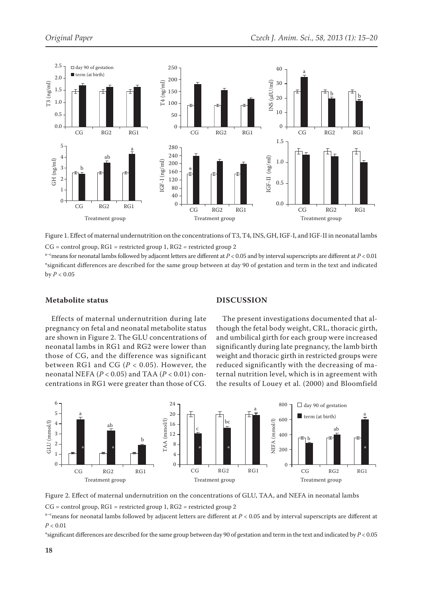

Figure 1. Effect of maternal undernutrition on the concentrations of T3, T4, INS, GH, IGF-I, and IGF-II in neonatal lambs

 $CG = control group, RG1 = restricted group 1, RG2 = restricted group 2$ 

a–cmeans for neonatal lambs followed by adjacent letters are different at *P* < 0.05 and by interval superscripts are different at *P* < 0.01 \*significant differences are described for the same group between at day 90 of gestation and term in the text and indicated  $by P < 0.05$ 

# **Metabolite status**

# **DISCUSSION**

Effects of maternal undernutrition during late pregnancy on fetal and neonatal metabolite status are shown in Figure 2. The GLU concentrations of neonatal lambs in RG1 and RG2 were lower than those of CG, and the difference was significant between RG1 and CG (*P* < 0.05). However, the neonatal NEFA (*P* < 0.05) and TAA (*P* < 0.01) concentrations in RG1 were greater than those of CG.

The present investigations documented that although the fetal body weight, CRL, thoracic girth, and umbilical girth for each group were increased significantly during late pregnancy, the lamb birth weight and thoracic girth in restricted groups were reduced significantly with the decreasing of maternal nutrition level, which is in agreement with the results of Louey et al. (2000) and Bloomfield



Figure 2. Effect of maternal undernutrition on the concentrations of GLU, TAA, and NEFA in neonatal lambs

CG = control group, RG1 = restricted group 1, RG2 = restricted group 2

 $a-c$  means for neonatal lambs followed by adjacent letters are different at  $P < 0.05$  and by interval superscripts are different at *P* < 0.01

\*significant differences are described for the same group between day 90 of gestation and term in the text and indicated by *P* < 0.05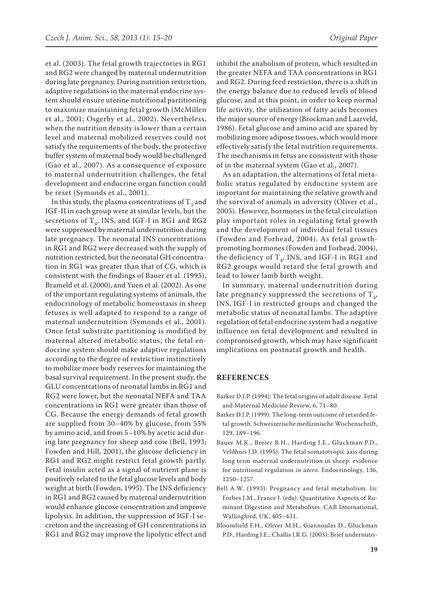et al. (2003). The fetal growth trajectories in RG1 and RG2 were changed by maternal undernutrition during late pregnancy. During nutrition restriction, adaptive regulations in the maternal endocrine system should ensure uterine nutritional partitioning to maximize maintaining fetal growth (McMillen et al., 2001; Osgerby et al., 2002). Nevertheless, when the nutrition density is lower than a certain level and maternal mobilized reserves could not satisfy the requirements of the body, the protective buffer system of maternal body would be challenged (Gao et al., 2007). As a consequence of exposure to maternal undernutrition challenges, the fetal development and endocrine organ function could be reset (Symonds et al., 2001).

In this study, the plasma concentrations of  $T_3$  and IGF-II in each group were at similar levels, but the secretions of  $T_a$ , INS, and IGF-I in RG1 and RG2 were suppressed by maternal undernutrition during late pregnancy. The neonatal INS concentrations in RG1 and RG2 were decreased with the supply of nutrition restricted, but the neonatal GH concentration in RG1 was greater than that of CG, which is consistent with the findings of Bauer et al. (1995), Brameld et al. (2000), and Yuen et al. (2002). As one of the important regulating systems of animals, the endocrinology of metabolic homeostasis in sheep fetuses is well adapted to respond to a range of maternal undernutrition (Symonds et al., 2001). Once fetal substrate partitioning is modified by maternal altered metabolic status, the fetal endocrine system should make adaptive regulations according to the degree of restriction instinctively to mobilize more body reserves for maintaining the basal survival requirement. In the present study, the GLU concentrations of neonatal lambs in RG1 and RG2 were lower, but the neonatal NEFA and TAA concentrations in RG1 were greater than those of CG. Because the energy demands of fetal growth are supplied from 30–40% by glucose, from 55% by amino acid, and from 5–10% by acetic acid during late pregnancy for sheep and cow (Bell, 1993; Fowden and Hill, 2001), the glucose deficiency in RG1 and RG2 might restrict fetal growth partly. Fetal insulin acted as a signal of nutrient plane is positively related to the fetal glucose levels and body weight at birth (Fowden, 1995). The INS deficiency in RG1 and RG2 caused by maternal undernutrition would enhance glucose concentration and improve lipolysis. In addition, the suppression of IGF-I secretion and the increasing of GH concentrations in RG1 and RG2 may improve the lipolytic effect and inhibit the anabolism of protein, which resulted in the greater NEFA and TAA concentrations in RG1 and RG2. During feed restriction, there is a shift in the energy balance due to reduced levels of blood glucose, and at this point, in order to keep normal life activity, the utilization of fatty acids becomes the major source of energy (Brockman and Laarveld, 1986). Fetal glucose and amino acid are spared by mobilizing more adipose tissues, which would more effectively satisfy the fetal nutrition requirements. The mechanisms in fetus are consistent with those of in the maternal system (Gao et al., 2007).

As an adaptation, the alternations of fetal metabolic status regulated by endocrine system are important for maintaining the relative growth and the survival of animals in adversity (Oliver et al., 2005). However, hormones in the fetal circulation play important roles in regulating fetal growth and the development of individual fetal tissues (Fowden and Forhead, 2004). As fetal growthpromoting hormones (Fowden and Forhead, 2004), the deficiency of  $T<sub>4</sub>$ , INS, and IGF-I in RG1 and RG2 groups would retard the fetal growth and lead to lower lamb birth weight.

In summary, maternal undernutrition during late pregnancy suppressed the secretions of  $T_A$ , INS, IGF-I in restricted groups and changed the metabolic status of neonatal lambs. The adaptive regulation of fetal endocrine system had a negative influence on fetal development and resulted in compromised growth, which may have significant implications on postnatal growth and health.

# **REFERENCES**

- Barker D.J.P. (1994): The fetal origins of adult disease. Fetal and Maternal Medicine Review, 6, 71–80.
- Barker D.J.P. (1999): The long-term outcome of retarded fetal growth. Schweizerische medizinische Wochenschrift, 129, 189–196.
- Bauer M.K., Breier B.H., Harding J.E., Gluckman P.D., Veldhuis J.D. (1995): The fetal somatotropic axis during long term maternal undernutrition in sheep: evidence for nutritional regulation *in utero*. Endocrinology, 136, 1250–1257.
- Bell A.W. (1993): Pregnancy and fetal metabolism. In: Forbes J.M., France J. (eds): Quantitative Aspects of Ruminant Digestion and Metabolism. CAB International, Wallingford, UK, 405–431.
- Bloomfield F.H., Oliver M.H., Giannoulas D., Gluckman P.D., Harding J.E., Challis J.R.G. (2003): Brief undernutri-